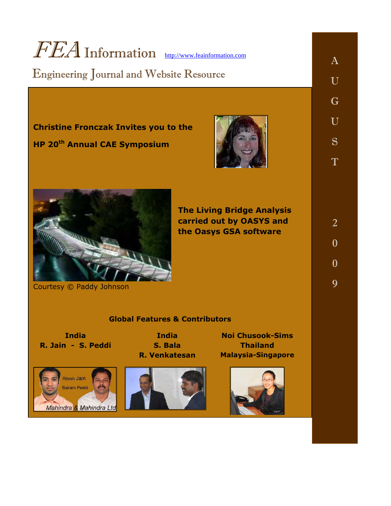# FEA Information [http://www.feainformation.com](http://www.feainformation.com/)

## Engineering Journal and Website Resource

**Christine Fronczak Invites you to the HP 20th Annual CAE Symposium** 





Courtesy © Paddy Johnson

**The Living Bridge Analysis carried out by OASYS and the Oasys GSA software** 

### **Global Features & Contributors**

**India R. Jain - S. Peddi** 

> **Ritesh Jain** Sairam Peddi

Mahindra & Mahindra Ltd

**India S. Bala R. Venkatesan** 



**Noi Chusook-Sims Thailand Malaysia-Singapore**



2  $\mathbf{0}$ 0

9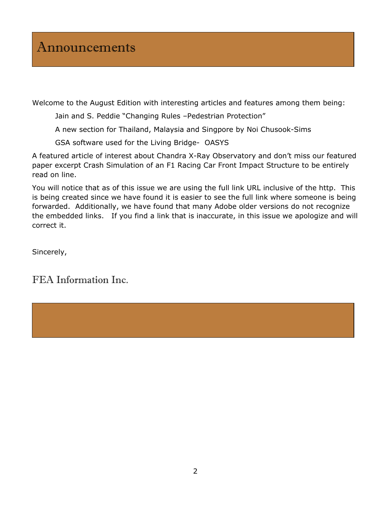Welcome to the August Edition with interesting articles and features among them being:

Jain and S. Peddie "Changing Rules –Pedestrian Protection"

A new section for Thailand, Malaysia and Singpore by Noi Chusook-Sims

GSA software used for the Living Bridge- OASYS

A featured article of interest about Chandra X-Ray Observatory and don't miss our featured paper excerpt Crash Simulation of an F1 Racing Car Front Impact Structure to be entirely read on line.

You will notice that as of this issue we are using the full link URL inclusive of the http. This is being created since we have found it is easier to see the full link where someone is being forwarded. Additionally, we have found that many Adobe older versions do not recognize the embedded links. If you find a link that is inaccurate, in this issue we apologize and will correct it.

Sincerely,

### FEA Information Inc.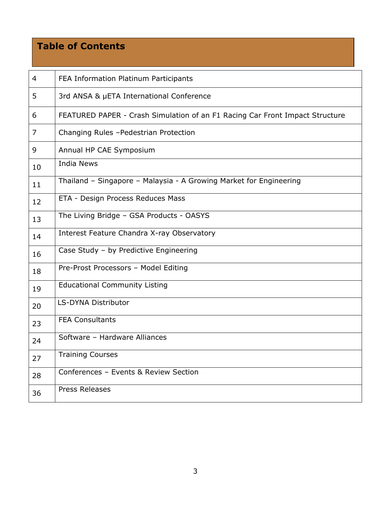### **Table of Contents**

| 4              | FEA Information Platinum Participants                                        |
|----------------|------------------------------------------------------------------------------|
| 5              | 3rd ANSA & µETA International Conference                                     |
| 6              | FEATURED PAPER - Crash Simulation of an F1 Racing Car Front Impact Structure |
| $\overline{7}$ | Changing Rules - Pedestrian Protection                                       |
| 9              | Annual HP CAE Symposium                                                      |
| 10             | <b>India News</b>                                                            |
| 11             | Thailand - Singapore - Malaysia - A Growing Market for Engineering           |
| 12             | ETA - Design Process Reduces Mass                                            |
| 13             | The Living Bridge - GSA Products - OASYS                                     |
| 14             | Interest Feature Chandra X-ray Observatory                                   |
| 16             | Case Study - by Predictive Engineering                                       |
| 18             | Pre-Prost Processors - Model Editing                                         |
| 19             | <b>Educational Community Listing</b>                                         |
| 20             | LS-DYNA Distributor                                                          |
| 23             | <b>FEA Consultants</b>                                                       |
| 24             | Software - Hardware Alliances                                                |
| 27             | <b>Training Courses</b>                                                      |
| 28             | Conferences - Events & Review Section                                        |
| 36             | Press Releases                                                               |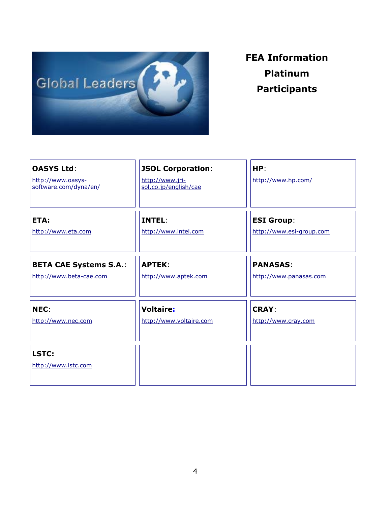

## **FEA Information Platinum Participants**

| <b>OASYS Ltd:</b><br>http://www.oasys-<br>software.com/dyna/en/ | <b>JSOL Corporation:</b><br>http://www.jri-<br>sol.co.jp/english/cae | HP:<br>http://www.hp.com/ |
|-----------------------------------------------------------------|----------------------------------------------------------------------|---------------------------|
| ETA:                                                            | INTEL:                                                               | <b>ESI Group:</b>         |
| http://www.eta.com                                              | http://www.intel.com                                                 | http://www.esi-group.com  |
| <b>BETA CAE Systems S.A.:</b>                                   | <b>APTEK:</b>                                                        | <b>PANASAS:</b>           |
| http://www.beta-cae.com                                         | http://www.aptek.com                                                 | http://www.panasas.com    |
| NEC:                                                            | <b>Voltaire:</b>                                                     | <b>CRAY:</b>              |
| http://www.nec.com                                              | http://www.voltaire.com                                              | http://www.cray.com       |
| LSTC:<br>http://www.lstc.com                                    |                                                                      |                           |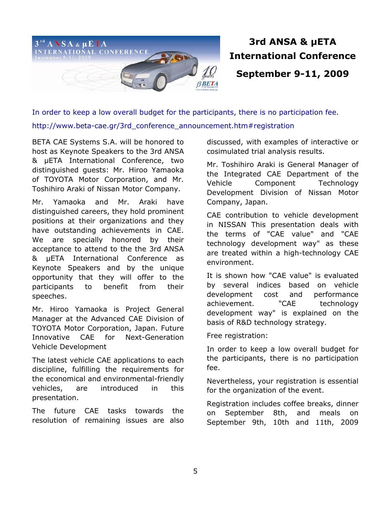

## **3rd ANSA & µETA International Conference September 9-11, 2009**

In order to keep a low overall budget for the participants, there is no participation fee. http://www.beta-cae.gr/3rd\_conference\_announcement.htm#registration

BETA CAE Systems S.A. will be honored to host as Keynote Speakers to the 3rd ANSA & µETA International Conference, two distinguished guests: Mr. Hiroo Yamaoka of TOYOTA Motor Corporation, and Mr. Toshihiro Araki of Nissan Motor Company.

Mr. Yamaoka and Mr. Araki have distinguished careers, they hold prominent positions at their organizations and they have outstanding achievements in CAE. We are specially honored by their acceptance to attend to the the 3rd ANSA & µETA International Conference as Keynote Speakers and by the unique opportunity that they will offer to the participants to benefit from their speeches.

Mr. Hiroo Yamaoka is Project General Manager at the Advanced CAE Division of TOYOTA Motor Corporation, Japan. Future Innovative CAE for Next-Generation Vehicle Development

The latest vehicle CAE applications to each discipline, fulfilling the requirements for the economical and environmental-friendly vehicles, are introduced in this presentation.

The future CAE tasks towards the resolution of remaining issues are also discussed, with examples of interactive or cosimulated trial analysis results.

Mr. Toshihiro Araki is General Manager of the Integrated CAE Department of the Vehicle Component Technology Development Division of Nissan Motor Company, Japan.

CAE contribution to vehicle development in NISSAN This presentation deals with the terms of "CAE value" and "CAE technology development way" as these are treated within a high-technology CAE environment.

It is shown how "CAE value" is evaluated by several indices based on vehicle development cost and performance achievement. "CAE technology development way" is explained on the basis of R&D technology strategy.

Free registration:

In order to keep a low overall budget for the participants, there is no participation fee.

Nevertheless, your registration is essential for the organization of the event.

Registration includes coffee breaks, dinner on September 8th, and meals on September 9th, 10th and 11th, 2009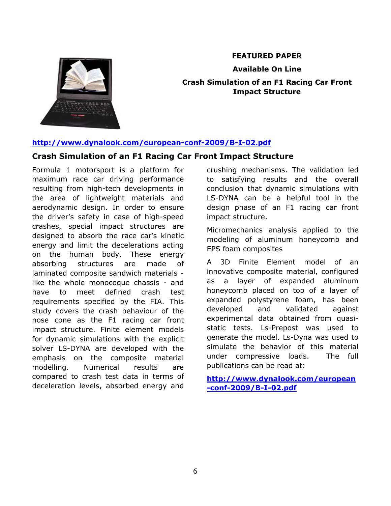

### **FEATURED PAPER**

**Available On Line Crash Simulation of an F1 Racing Car Front Impact Structure** 

### **<http://www.dynalook.com/european-conf-2009/B-I-02.pdf>**

### **Crash Simulation of an F1 Racing Car Front Impact Structure**

Formula 1 motorsport is a platform for maximum race car driving performance resulting from high-tech developments in the area of lightweight materials and aerodynamic design. In order to ensure the driver's safety in case of high-speed crashes, special impact structures are designed to absorb the race car's kinetic energy and limit the decelerations acting on the human body. These energy absorbing structures are made of laminated composite sandwich materials like the whole monocoque chassis - and have to meet defined crash test requirements specified by the FIA. This study covers the crash behaviour of the nose cone as the F1 racing car front impact structure. Finite element models for dynamic simulations with the explicit solver LS-DYNA are developed with the emphasis on the composite material modelling. Numerical results are compared to crash test data in terms of deceleration levels, absorbed energy and

crushing mechanisms. The validation led to satisfying results and the overall conclusion that dynamic simulations with LS-DYNA can be a helpful tool in the design phase of an F1 racing car front impact structure.

Micromechanics analysis applied to the modeling of aluminum honeycomb and EPS foam composites

A 3D Finite Element model of an innovative composite material, configured as a layer of expanded aluminum honeycomb placed on top of a layer of expanded polystyrene foam, has been developed and validated against experimental data obtained from quasistatic tests. Ls-Prepost was used to generate the model. Ls-Dyna was used to simulate the behavior of this material under compressive loads. The full publications can be read at:

**[http://www.dynalook.com/european](http://www.dynalook.com/european-conf-2009/B-I-02.pdf) [-conf-2009/B-I-02.pdf](http://www.dynalook.com/european-conf-2009/B-I-02.pdf)**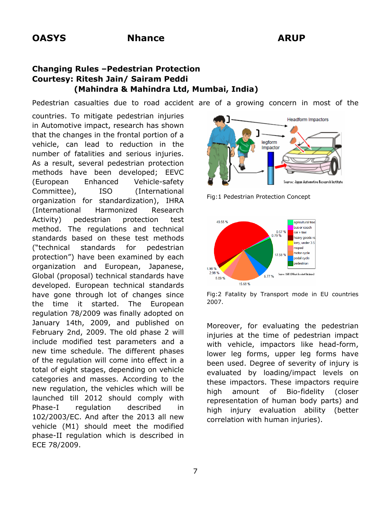### **Changing Rules –Pedestrian Protection Courtesy: Ritesh Jain/ Sairam Peddi (Mahindra & Mahindra Ltd, Mumbai, India)**

Pedestrian casualties due to road accident are of a growing concern in most of the

countries. To mitigate pedestrian injuries in Automotive impact, research has shown that the changes in the frontal portion of a vehicle, can lead to reduction in the number of fatalities and serious injuries. As a result, several pedestrian protection methods have been developed; EEVC (European Enhanced Vehicle-safety Committee), ISO (International organization for standardization), IHRA (International Harmonized Research Activity) pedestrian protection test method. The regulations and technical standards based on these test methods ("technical standards for pedestrian protection") have been examined by each organization and European, Japanese, Global (proposal) technical standards have developed. European technical standards have gone through lot of changes since the time it started. The European regulation 78/2009 was finally adopted on January 14th, 2009, and published on February 2nd, 2009. The old phase 2 will include modified test parameters and a new time schedule. The different phases of the regulation will come into effect in a total of eight stages, depending on vehicle categories and masses. According to the new regulation, the vehicles which will be launched till 2012 should comply with Phase-I regulation described in 102/2003/EC. And after the 2013 all new vehicle (M1) should meet the modified phase-II regulation which is described in ECE 78/2009.



Fig:1 Pedestrian Protection Concept



Fig:2 Fatality by Transport mode in EU countries 2007.

Moreover, for evaluating the pedestrian injuries at the time of pedestrian impact with vehicle, impactors like head-form, lower leg forms, upper leg forms have been used. Degree of severity of injury is evaluated by loading/impact levels on these impactors. These impactors require high amount of Bio-fidelity (closer representation of human body parts) and high injury evaluation ability (better correlation with human injuries).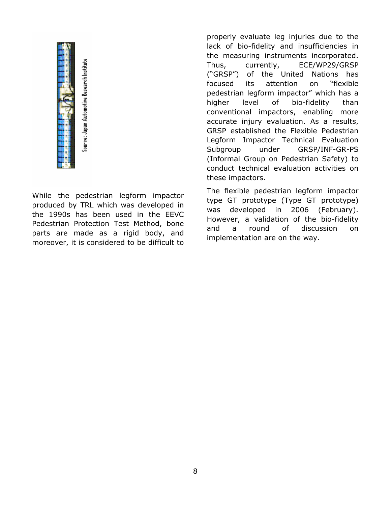

istice: Japan Automotive Research Institut

While the pedestrian legform impactor produced by TRL which was developed in the 1990s has been used in the EEVC Pedestrian Protection Test Method, bone parts are made as a rigid body, and moreover, it is considered to be difficult to

properly evaluate leg injuries due to the lack of bio-fidelity and insufficiencies in the measuring instruments incorporated. Thus, currently, ECE/WP29/GRSP ("GRSP") of the United Nations has focused its attention on "flexible pedestrian legform impactor" which has a higher level of bio-fidelity than conventional impactors, enabling more accurate injury evaluation. As a results, GRSP established the Flexible Pedestrian Legform Impactor Technical Evaluation Subgroup under GRSP/INF-GR-PS (Informal Group on Pedestrian Safety) to conduct technical evaluation activities on these impactors.

The flexible pedestrian legform impactor type GT prototype (Type GT prototype) was developed in 2006 (February). However, a validation of the bio-fidelity and a round of discussion on implementation are on the way.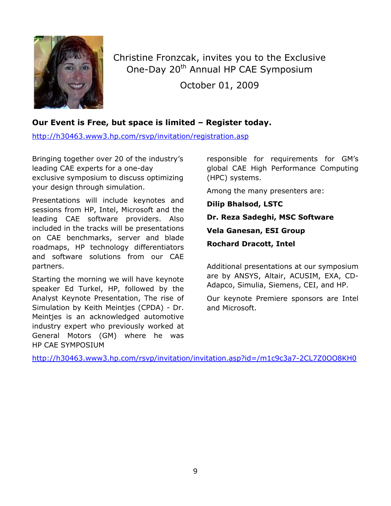

Christine Fronzcak, invites you to the Exclusive One-Day 20<sup>th</sup> Annual HP CAE Symposium October 01, 2009

### **Our Event is Free, but space is limited – Register today.**

http://h30463.www3.hp.com/rsvp/invitation/registration.asp

Bringing together over 20 of the industry's leading CAE experts for a one-day exclusive symposium to discuss optimizing your design through simulation.

Presentations will include keynotes and sessions from HP, Intel, Microsoft and the leading CAE software providers. Also included in the tracks will be presentations on CAE benchmarks, server and blade roadmaps, HP technology differentiators and software solutions from our CAE partners.

Starting the morning we will have keynote speaker Ed Turkel, HP, followed by the Analyst Keynote Presentation, The rise of Simulation by Keith Meintjes (CPDA) - Dr. Meintjes is an acknowledged automotive industry expert who previously worked at General Motors (GM) where he was HP CAE SYMPOSIUM

responsible for requirements for GM's global CAE High Performance Computing (HPC) systems.

Among the many presenters are:

**Dilip Bhalsod, LSTC** 

**Dr. Reza Sadeghi, MSC Software Vela Ganesan, ESI Group** 

**Rochard Dracott, Intel** 

Additional presentations at our symposium are by ANSYS, Altair, ACUSIM, EXA, CD-Adapco, Simulia, Siemens, CEI, and HP.

Our keynote Premiere sponsors are Intel and Microsoft.

<http://h30463.www3.hp.com/rsvp/invitation/invitation.asp?id=/m1c9c3a7-2CL7Z0OO8KH0>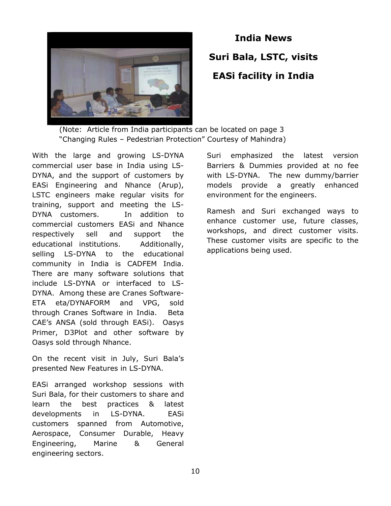

## **India News Suri Bala, LSTC, visits EASi facility in India**

 (Note: Article from India participants can be located on page 3 "Changing Rules – Pedestrian Protection" Courtesy of Mahindra)

With the large and growing LS-DYNA commercial user base in India using LS-DYNA, and the support of customers by EASi Engineering and Nhance (Arup), LSTC engineers make regular visits for training, support and meeting the LS-DYNA customers. In addition to commercial customers EASi and Nhance respectively sell and support the educational institutions. Additionally, selling LS-DYNA to the educational community in India is CADFEM India. There are many software solutions that include LS-DYNA or interfaced to LS-DYNA. Among these are Cranes Software-ETA eta/DYNAFORM and VPG, sold through Cranes Software in India. Beta CAE's ANSA (sold through EASi). Oasys Primer, D3Plot and other software by Oasys sold through Nhance.

On the recent visit in July, Suri Bala's presented New Features in LS-DYNA.

EASi arranged workshop sessions with Suri Bala, for their customers to share and learn the best practices & latest developments in LS-DYNA. EASi customers spanned from Automotive, Aerospace, Consumer Durable, Heavy Engineering, Marine & General engineering sectors.

Suri emphasized the latest version Barriers & Dummies provided at no fee with LS-DYNA. The new dummy/barrier models provide a greatly enhanced environment for the engineers.

Ramesh and Suri exchanged ways to enhance customer use, future classes, workshops, and direct customer visits. These customer visits are specific to the applications being used.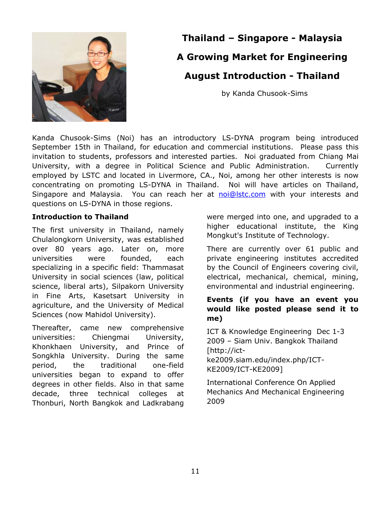

## **Thailand – Singapore - Malaysia A Growing Market for Engineering August Introduction - Thailand**

by Kanda Chusook-Sims

Kanda Chusook-Sims (Noi) has an introductory LS-DYNA program being introduced September 15th in Thailand, for education and commercial institutions. Please pass this invitation to students, professors and interested parties. Noi graduated from Chiang Mai University, with a degree in Political Science and Public Administration. Currently employed by LSTC and located in Livermore, CA., Noi, among her other interests is now concentrating on promoting LS-DYNA in Thailand. Noi will have articles on Thailand, Singapore and Malaysia. You can reach her at [noi@lstc.com](mailto:noi@lstc.com) with your interests and questions on LS-DYNA in those regions.

### **Introduction to Thailand**

The first university in Thailand, namely Chulalongkorn University, was established over 80 years ago. Later on, more universities were founded, each specializing in a specific field: Thammasat University in social sciences (law, political science, liberal arts), Silpakorn University in Fine Arts, Kasetsart University in agriculture, and the University of Medical Sciences (now Mahidol University).

Thereafter, came new comprehensive universities: Chiengmai University, Khonkhaen University, and Prince of Songkhla University. During the same period, the traditional one-field universities began to expand to offer degrees in other fields. Also in that same decade, three technical colleges at Thonburi, North Bangkok and Ladkrabang were merged into one, and upgraded to a higher educational institute, the King Mongkut's Institute of Technology.

There are currently over 61 public and private engineering institutes accredited by the Council of Engineers covering civil, electrical, mechanical, chemical, mining, environmental and industrial engineering.

### **Events (if you have an event you would like posted please send it to me)**

ICT & Knowledge Engineering Dec 1-3 2009 – Siam Univ. Bangkok Thailand [http://ict-

ke2009.siam.edu/index.php/ICT-KE2009/ICT-KE2009]

International Conference On Applied Mechanics And Mechanical Engineering 2009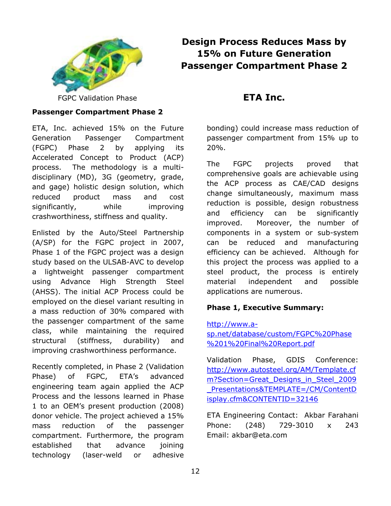

### **Design Process Reduces Mass by 15% on Future Generation Passenger Compartment Phase 2**

FGPC Validation Phase

### **Passenger Compartment Phase 2**

ETA, Inc. achieved 15% on the Future Generation Passenger Compartment (FGPC) Phase 2 by applying its Accelerated Concept to Product (ACP) process. The methodology is a multidisciplinary (MD), 3G (geometry, grade, and gage) holistic design solution, which reduced product mass and cost significantly, while improving crashworthiness, stiffness and quality.

Enlisted by the Auto/Steel Partnership (A/SP) for the FGPC project in 2007, Phase 1 of the FGPC project was a design study based on the ULSAB-AVC to develop a lightweight passenger compartment using Advance High Strength Steel (AHSS). The initial ACP Process could be employed on the diesel variant resulting in a mass reduction of 30% compared with the passenger compartment of the same class, while maintaining the required structural (stiffness, durability) and improving crashworthiness performance.

Recently completed, in Phase 2 (Validation Phase) of FGPC, ETA's advanced engineering team again applied the ACP Process and the lessons learned in Phase 1 to an OEM's present production (2008) donor vehicle. The project achieved a 15% mass reduction of the passenger compartment. Furthermore, the program established that advance joining technology (laser-weld or adhesive

### **ETA Inc.**

bonding) could increase mass reduction of passenger compartment from 15% up to 20%.

The FGPC projects proved that comprehensive goals are achievable using the ACP process as CAE/CAD designs change simultaneously, maximum mass reduction is possible, design robustness and efficiency can be significantly improved. Moreover, the number of components in a system or sub-system can be reduced and manufacturing efficiency can be achieved. Although for this project the process was applied to a steel product, the process is entirely material independent and possible applications are numerous.

### **Phase 1, Executive Summary:**

[http://www.a](http://www.a-sp.net/database/custom/FGPC%20Phase%201%20Final%20Report.pdf)[sp.net/database/custom/FGPC%20Phase](http://www.a-sp.net/database/custom/FGPC%20Phase%201%20Final%20Report.pdf) [%201%20Final%20Report.pdf](http://www.a-sp.net/database/custom/FGPC%20Phase%201%20Final%20Report.pdf) 

Validation Phase, GDIS Conference: [http://www.autosteel.org/AM/Template.cf](http://www.autosteel.org/AM/Template.cfm?Section=Great_Designs_in_Steel_2009_Presentations&TEMPLATE=/CM/ContentDisplay.cfm&CONTENTID=32146) [m?Section=Great\\_Designs\\_in\\_Steel\\_2009](http://www.autosteel.org/AM/Template.cfm?Section=Great_Designs_in_Steel_2009_Presentations&TEMPLATE=/CM/ContentDisplay.cfm&CONTENTID=32146) [\\_Presentations&TEMPLATE=/CM/ContentD](http://www.autosteel.org/AM/Template.cfm?Section=Great_Designs_in_Steel_2009_Presentations&TEMPLATE=/CM/ContentDisplay.cfm&CONTENTID=32146) [isplay.cfm&CONTENTID=32146](http://www.autosteel.org/AM/Template.cfm?Section=Great_Designs_in_Steel_2009_Presentations&TEMPLATE=/CM/ContentDisplay.cfm&CONTENTID=32146)

ETA Engineering Contact: Akbar Farahani Phone: (248) 729-3010 x 243 Email: akbar@eta.com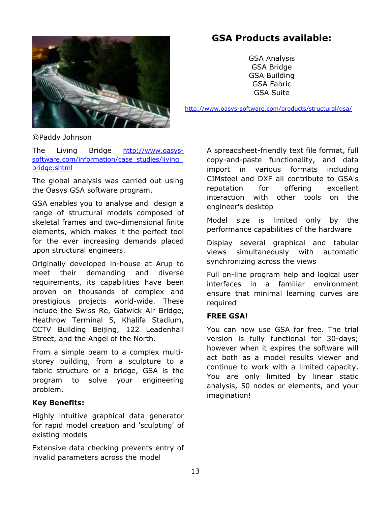

### **GSA Products available:**

GSA Analysis GSA Bridge GSA Building GSA Fabric GSA Suite

<http://www.oasys-software.com/products/structural/gsa/>

©Paddy Johnson

The Living Bridge [http://www.oasys](http://www.oasys-software.com/information/case_studies/living_bridge.shtml)software.com/information/case\_studies/living [bridge.shtml](http://www.oasys-software.com/information/case_studies/living_bridge.shtml) 

The global analysis was carried out using the Oasys GSA software program.

GSA enables you to analyse and design a range of structural models composed of skeletal frames and two-dimensional finite elements, which makes it the perfect tool for the ever increasing demands placed upon structural engineers.

Originally developed in-house at Arup to meet their demanding and diverse requirements, its capabilities have been proven on thousands of complex and prestigious projects world-wide. These include the Swiss Re, Gatwick Air Bridge, Heathrow Terminal 5, Khalifa Stadium, CCTV Building Beijing, 122 Leadenhall Street, and the Angel of the North.

From a simple beam to a complex multistorey building, from a sculpture to a fabric structure or a bridge, GSA is the program to solve your engineering problem.

### **Key Benefits:**

Highly intuitive graphical data generator for rapid model creation and 'sculpting' of existing models

Extensive data checking prevents entry of invalid parameters across the model

A spreadsheet-friendly text file format, full copy-and-paste functionality, and data import in various formats including CIMsteel and DXF all contribute to GSA's reputation for offering excellent interaction with other tools on the engineer's desktop

Model size is limited only by the performance capabilities of the hardware

Display several graphical and tabular views simultaneously with automatic synchronizing across the views

Full on-line program help and logical user interfaces in a familiar environment ensure that minimal learning curves are required

#### **FREE GSA!**

You can now use GSA for free. The trial version is fully functional for 30-days; however when it expires the software will act both as a model results viewer and continue to work with a limited capacity. You are only limited by linear static analysis, 50 nodes or elements, and your imagination!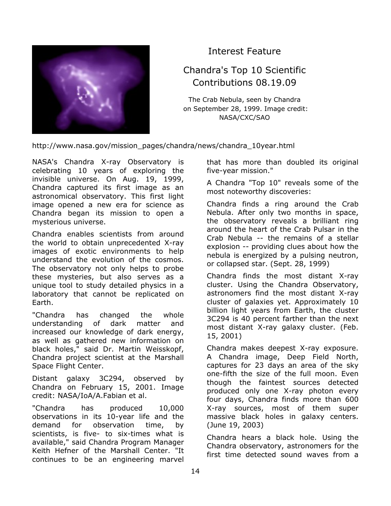

Interest Feature

### Chandra's Top 10 Scientific Contributions 08.19.09

The Crab Nebula, seen by Chandra on September 28, 1999. Image credit: NASA/CXC/SAO

http://www.nasa.gov/mission\_pages/chandra/news/chandra\_10year.html

NASA's Chandra X-ray Observatory is celebrating 10 years of exploring the invisible universe. On Aug. 19, 1999, Chandra captured its first image as an astronomical observatory. This first light image opened a new era for science as Chandra began its mission to open a mysterious universe.

Chandra enables scientists from around the world to obtain unprecedented X-ray images of exotic environments to help understand the evolution of the cosmos. The observatory not only helps to probe these mysteries, but also serves as a unique tool to study detailed physics in a laboratory that cannot be replicated on Earth.

"Chandra has changed the whole understanding of dark matter and increased our knowledge of dark energy, as well as gathered new information on black holes," said Dr. Martin Weisskopf, Chandra project scientist at the Marshall Space Flight Center.

Distant galaxy 3C294, observed by Chandra on February 15, 2001. Image credit: NASA/IoA/A.Fabian et al.

"Chandra has produced 10,000 observations in its 10-year life and the demand for observation time, by scientists, is five- to six-times what is available," said Chandra Program Manager Keith Hefner of the Marshall Center. "It continues to be an engineering marvel

that has more than doubled its original five-year mission."

A Chandra "Top 10" reveals some of the most noteworthy discoveries:

Chandra finds a ring around the Crab Nebula. After only two months in space, the observatory reveals a brilliant ring around the heart of the Crab Pulsar in the Crab Nebula -- the remains of a stellar explosion -- providing clues about how the nebula is energized by a pulsing neutron, or collapsed star. (Sept. 28, 1999)

Chandra finds the most distant X-ray cluster. Using the Chandra Observatory, astronomers find the most distant X-ray cluster of galaxies yet. Approximately 10 billion light years from Earth, the cluster 3C294 is 40 percent farther than the next most distant X-ray galaxy cluster. (Feb. 15, 2001)

Chandra makes deepest X-ray exposure. A Chandra image, Deep Field North, captures for 23 days an area of the sky one-fifth the size of the full moon. Even though the faintest sources detected produced only one X-ray photon every four days, Chandra finds more than 600 X-ray sources, most of them super massive black holes in galaxy centers. (June 19, 2003)

Chandra hears a black hole. Using the Chandra observatory, astronomers for the first time detected sound waves from a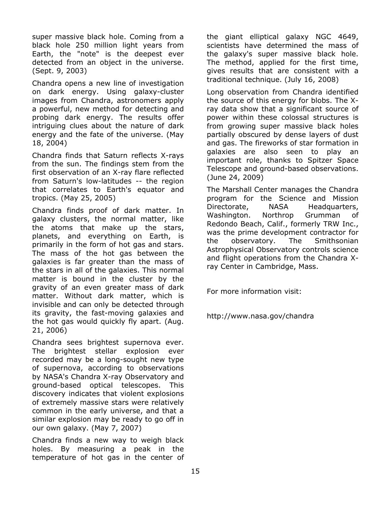super massive black hole. Coming from a black hole 250 million light years from Earth, the "note" is the deepest ever detected from an object in the universe. (Sept. 9, 2003)

Chandra opens a new line of investigation on dark energy. Using galaxy-cluster images from Chandra, astronomers apply a powerful, new method for detecting and probing dark energy. The results offer intriguing clues about the nature of dark energy and the fate of the universe. (May 18, 2004)

Chandra finds that Saturn reflects X-rays from the sun. The findings stem from the first observation of an X-ray flare reflected from Saturn's low-latitudes -- the region that correlates to Earth's equator and tropics. (May 25, 2005)

Chandra finds proof of dark matter. In galaxy clusters, the normal matter, like the atoms that make up the stars, planets, and everything on Earth, is primarily in the form of hot gas and stars. The mass of the hot gas between the galaxies is far greater than the mass of the stars in all of the galaxies. This normal matter is bound in the cluster by the gravity of an even greater mass of dark matter. Without dark matter, which is invisible and can only be detected through its gravity, the fast-moving galaxies and the hot gas would quickly fly apart. (Aug. 21, 2006)

Chandra sees brightest supernova ever. The brightest stellar explosion ever recorded may be a long-sought new type of supernova, according to observations by NASA's Chandra X-ray Observatory and ground-based optical telescopes. This discovery indicates that violent explosions of extremely massive stars were relatively common in the early universe, and that a similar explosion may be ready to go off in our own galaxy. (May 7, 2007)

Chandra finds a new way to weigh black holes. By measuring a peak in the temperature of hot gas in the center of

the giant elliptical galaxy NGC 4649, scientists have determined the mass of the galaxy's super massive black hole. The method, applied for the first time, gives results that are consistent with a traditional technique. (July 16, 2008)

Long observation from Chandra identified the source of this energy for blobs. The Xray data show that a significant source of power within these colossal structures is from growing super massive black holes partially obscured by dense layers of dust and gas. The fireworks of star formation in galaxies are also seen to play an important role, thanks to Spitzer Space Telescope and ground-based observations. (June 24, 2009)

The Marshall Center manages the Chandra program for the Science and Mission Directorate, NASA Headquarters, Washington. Northrop Grumman of Redondo Beach, Calif., formerly TRW Inc., was the prime development contractor for the observatory. The Smithsonian Astrophysical Observatory controls science and flight operations from the Chandra Xray Center in Cambridge, Mass.

For more information visit:

http://www.nasa.gov/chandra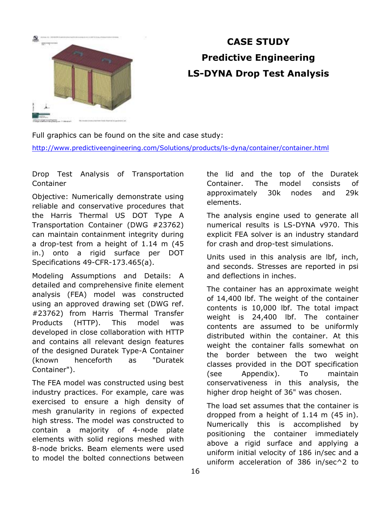

## **CASE STUDY Predictive Engineering LS-DYNA Drop Test Analysis**

Full graphics can be found on the site and case study:

<http://www.predictiveengineering.com/Solutions/products/ls-dyna/container/container.html>

Drop Test Analysis of Transportation Container

Objective: Numerically demonstrate using reliable and conservative procedures that the Harris Thermal US DOT Type A Transportation Container (DWG #23762) can maintain containment integrity during a drop-test from a height of 1.14 m (45 in.) onto a rigid surface per DOT Specifications 49-CFR-173.465(a).

Modeling Assumptions and Details: A detailed and comprehensive finite element analysis (FEA) model was constructed using an approved drawing set (DWG ref. #23762) from Harris Thermal Transfer Products (HTTP). This model was developed in close collaboration with HTTP and contains all relevant design features of the designed Duratek Type-A Container (known henceforth as "Duratek Container").

The FEA model was constructed using best industry practices. For example, care was exercised to ensure a high density of mesh granularity in regions of expected high stress. The model was constructed to contain a majority of 4-node plate elements with solid regions meshed with 8-node bricks. Beam elements were used to model the bolted connections between

the lid and the top of the Duratek Container. The model consists of approximately 30k nodes and 29k elements.

The analysis engine used to generate all numerical results is LS-DYNA v970. This explicit FEA solver is an industry standard for crash and drop-test simulations.

Units used in this analysis are lbf, inch, and seconds. Stresses are reported in psi and deflections in inches.

The container has an approximate weight of 14,400 lbf. The weight of the container contents is 10,000 lbf. The total impact weight is 24,400 lbf. The container contents are assumed to be uniformly distributed within the container. At this weight the container falls somewhat on the border between the two weight classes provided in the DOT specification (see Appendix). To maintain conservativeness in this analysis, the higher drop height of 36" was chosen.

The load set assumes that the container is dropped from a height of 1.14 m (45 in). Numerically this is accomplished by positioning the container immediately above a rigid surface and applying a uniform initial velocity of 186 in/sec and a uniform acceleration of 386 in/sec^2 to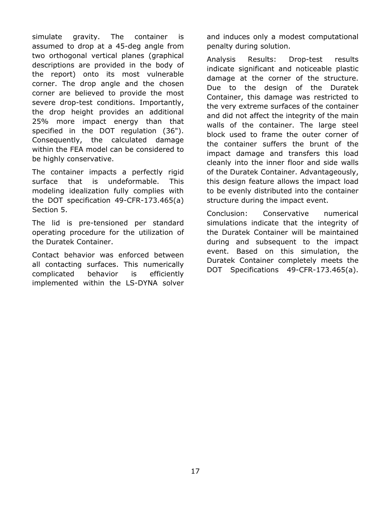simulate gravity. The container is assumed to drop at a 45-deg angle from two orthogonal vertical planes (graphical descriptions are provided in the body of the report) onto its most vulnerable corner. The drop angle and the chosen corner are believed to provide the most severe drop-test conditions. Importantly, the drop height provides an additional 25% more impact energy than that specified in the DOT regulation (36"). Consequently, the calculated damage within the FEA model can be considered to be highly conservative.

The container impacts a perfectly rigid surface that is undeformable. This modeling idealization fully complies with the DOT specification 49-CFR-173.465(a) Section 5.

The lid is pre-tensioned per standard operating procedure for the utilization of the Duratek Container.

Contact behavior was enforced between all contacting surfaces. This numerically complicated behavior is efficiently implemented within the LS-DYNA solver

and induces only a modest computational penalty during solution.

Analysis Results: Drop-test results indicate significant and noticeable plastic damage at the corner of the structure. Due to the design of the Duratek Container, this damage was restricted to the very extreme surfaces of the container and did not affect the integrity of the main walls of the container. The large steel block used to frame the outer corner of the container suffers the brunt of the impact damage and transfers this load cleanly into the inner floor and side walls of the Duratek Container. Advantageously, this design feature allows the impact load to be evenly distributed into the container structure during the impact event.

Conclusion: Conservative numerical simulations indicate that the integrity of the Duratek Container will be maintained during and subsequent to the impact event. Based on this simulation, the Duratek Container completely meets the DOT Specifications 49-CFR-173.465(a).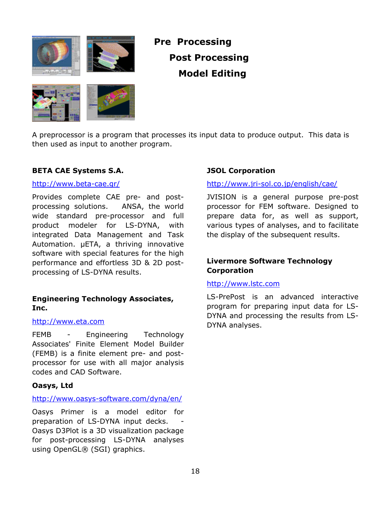



## **Pre Processing Post Processing Model Editing**



A preprocessor is a program that processes its input data to produce output. This data is then used as input to another program.

### **BETA CAE Systems S.A.**

#### <http://www.beta-cae.gr/>

Provides complete CAE pre- and postprocessing solutions. ANSA, the world wide standard pre-processor and full product modeler for LS-DYNA, with integrated Data Management and Task Automation. μETA, a thriving innovative software with special features for the high performance and effortless 3D & 2D postprocessing of LS-DYNA results.

### **Engineering Technology Associates, Inc.**

#### [http://www.eta.com](http://www.eta.com/)

FEMB - Engineering Technology Associates' Finite Element Model Builder (FEMB) is a finite element pre- and postprocessor for use with all major analysis codes and CAD Software.

#### **Oasys, Ltd**

#### <http://www.oasys-software.com/dyna/en/>

Oasys Primer is a model editor for preparation of LS-DYNA input decks. Oasys D3Plot is a 3D visualization package for post-processing LS-DYNA analyses using OpenGL® (SGI) graphics.

### **JSOL Corporation**

#### <http://www.jri-sol.co.jp/english/cae/>

JVISION is a general purpose pre-post processor for FEM software. Designed to prepare data for, as well as support, various types of analyses, and to facilitate the display of the subsequent results.

### **Livermore Software Technology Corporation**

#### [http://www.lstc.com](http://www.lstc.com/)

LS-PrePost is an advanced interactive program for preparing input data for LS-DYNA and processing the results from LS-DYNA analyses.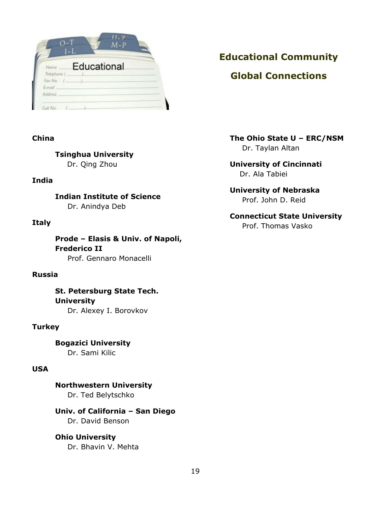| <b>Name</b> | Educational |  |  |
|-------------|-------------|--|--|
| Telephone ( |             |  |  |
| Fax No.     |             |  |  |

### **China**

**Tsinghua University** 

Dr. Qing Zhou

### **India**

**Indian Institute of Science**  Dr. Anindya Deb

### **Italy**

**Prode – Elasis & Univ. of Napoli, Frederico II**  Prof. Gennaro Monacelli

### **Russia**

**St. Petersburg State Tech. University**  Dr. Alexey I. Borovkov

### **Turkey**

**Bogazici University**  Dr. Sami Kilic

### **USA**

**Northwestern University**  Dr. Ted Belytschko

**Univ. of California – San Diego**  Dr. David Benson

#### **Ohio University**  Dr. Bhavin V. Mehta

### **Educational Community**

### **Global Connections**

**The Ohio State U – ERC/NSM**  Dr. Taylan Altan

**University of Cincinnati**  Dr. Ala Tabiei

### **University of Nebraska**  Prof. John D. Reid

**Connecticut State University**  Prof. Thomas Vasko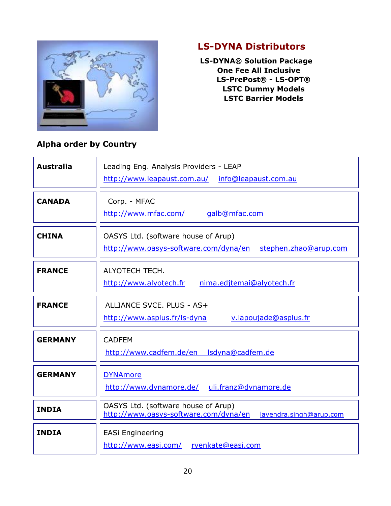

### **LS-DYNA Distributors**

 **LS-DYNA® Solution Package One Fee All Inclusive LS-PrePost® - LS-OPT® LSTC Dummy Models LSTC Barrier Models** 

### **Alpha order by Country**

| <b>Australia</b> | Leading Eng. Analysis Providers - LEAP<br>http://www.leapaust.com.au/ info@leapaust.com.au              |  |  |
|------------------|---------------------------------------------------------------------------------------------------------|--|--|
| <b>CANADA</b>    | Corp. - MFAC<br>http://www.mfac.com/<br>galb@mfac.com                                                   |  |  |
| <b>CHINA</b>     | OASYS Ltd. (software house of Arup)<br>http://www.oasys-software.com/dyna/en<br>stephen.zhao@arup.com   |  |  |
| <b>FRANCE</b>    | ALYOTECH TECH.<br>nima.edjtemai@alyotech.fr<br>http://www.alyotech.fr                                   |  |  |
| <b>FRANCE</b>    | ALLIANCE SVCE. PLUS - AS+<br>http://www.asplus.fr/ls-dyna<br>v.lapoujade@asplus.fr                      |  |  |
| <b>GERMANY</b>   | <b>CADFEM</b><br>http://www.cadfem.de/en lsdyna@cadfem.de                                               |  |  |
| <b>GERMANY</b>   | <b>DYNAmore</b><br>uli.franz@dynamore.de<br>http://www.dynamore.de/                                     |  |  |
| <b>INDIA</b>     | OASYS Ltd. (software house of Arup)<br>http://www.oasys-software.com/dyna/en<br>lavendra.singh@arup.com |  |  |
| <b>INDIA</b>     | <b>EASi Engineering</b><br>http://www.easi.com/<br>rvenkate@easi.com                                    |  |  |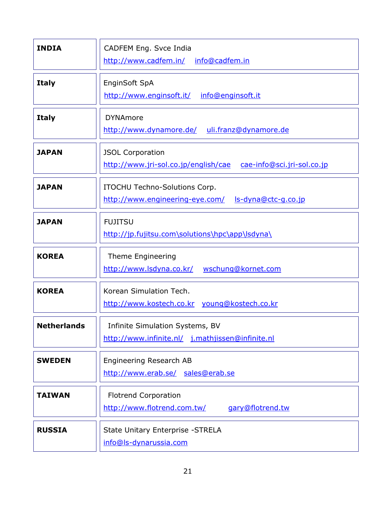| <b>INDIA</b>       | CADFEM Eng. Svce India<br>http://www.cadfem.in/ info@cadfem.in                                |
|--------------------|-----------------------------------------------------------------------------------------------|
| <b>Italy</b>       | EnginSoft SpA<br>http://www.enginsoft.it/<br>info@enginsoft.it                                |
| <b>Italy</b>       | <b>DYNAmore</b><br>http://www.dynamore.de/<br>uli.franz@dynamore.de                           |
| <b>JAPAN</b>       | <b>JSOL Corporation</b><br>http://www.jri-sol.co.jp/english/cae<br>cae-info@sci.jri-sol.co.jp |
| <b>JAPAN</b>       | ITOCHU Techno-Solutions Corp.<br>http://www.engineering-eye.com/<br>ls-dyna@ctc-g.co.jp       |
| <b>JAPAN</b>       | <b>FUJITSU</b><br>http://jp.fujitsu.com\solutions\hpc\app\lsdyna\                             |
| <b>KOREA</b>       | Theme Engineering<br>http://www.lsdyna.co.kr/<br>wschung@kornet.com                           |
| <b>KOREA</b>       | Korean Simulation Tech.<br>http://www.kostech.co.kr young@kostech.co.kr                       |
| <b>Netherlands</b> | Infinite Simulation Systems, BV<br>http://www.infinite.nl/ j.mathjissen@infinite.nl           |
| <b>SWEDEN</b>      | Engineering Research AB<br>http://www.erab.se/ sales@erab.se                                  |
| <b>TAIWAN</b>      | <b>Flotrend Corporation</b><br>http://www.flotrend.com.tw/<br>gary@flotrend.tw                |
| <b>RUSSIA</b>      | State Unitary Enterprise - STRELA<br>info@ls-dynarussia.com                                   |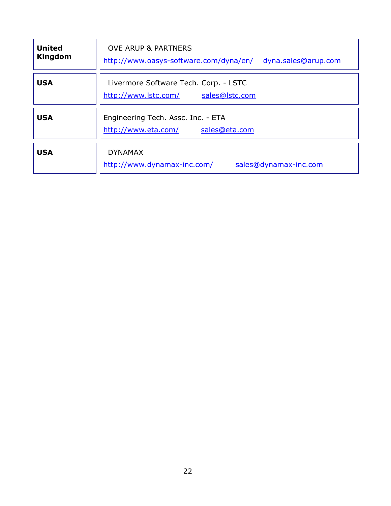| <b>United</b><br>Kingdom | <b>OVE ARUP &amp; PARTNERS</b><br>http://www.oasys-software.com/dyna/en/<br>dyna.sales@arup.com |
|--------------------------|-------------------------------------------------------------------------------------------------|
| <b>USA</b>               | Livermore Software Tech. Corp. - LSTC<br>http://www.lstc.com/<br>sales@lstc.com                 |
| <b>USA</b>               | Engineering Tech. Assc. Inc. - ETA<br>sales@eta.com<br>http://www.eta.com/                      |
| <b>USA</b>               | <b>DYNAMAX</b><br>http://www.dynamax-inc.com/<br>sales@dynamax-inc.com                          |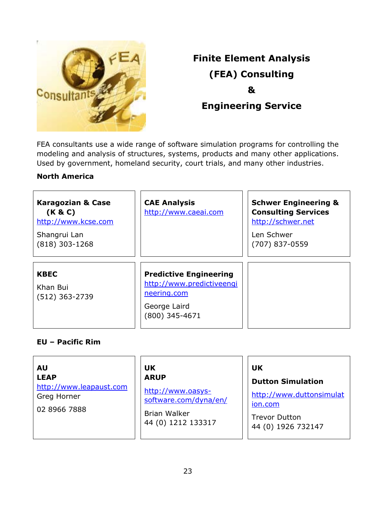

## **Finite Element Analysis (FEA) Consulting & Engineering Service**

FEA consultants use a wide range of software simulation programs for controlling the modeling and analysis of structures, systems, products and many other applications. Used by government, homeland security, court trials, and many other industries.

### **North America**

| <b>Karagozian &amp; Case</b>     | <b>CAE Analysis</b>                      | <b>Schwer Engineering &amp;</b>                 |
|----------------------------------|------------------------------------------|-------------------------------------------------|
| (K & C)<br>http://www.kcse.com   | http://www.caeai.com                     | <b>Consulting Services</b><br>http://schwer.net |
| Shangrui Lan<br>$(818)$ 303-1268 |                                          | Len Schwer<br>(707) 837-0559                    |
|                                  |                                          |                                                 |
| <b>KBEC</b>                      | <b>Predictive Engineering</b>            |                                                 |
| Khan Bui<br>(512) 363-2739       | http://www.predictiveengi<br>neering.com |                                                 |
|                                  | George Laird<br>(800) 345-4671           |                                                 |

### **EU – Pacific Rim**

**AU LEAP**  [http://www.leapaust.com](http://www.leapaust.com/)  Greg Horner 02 8966 7888

**UK ARUP** 

[http://www.oasys](http://www.oasys-software.com/dyna/en/)[software.com/dyna/en/](http://www.oasys-software.com/dyna/en/)

Brian Walker 44 (0) 1212 133317

### **UK**

### **Dutton Simulation**

[http://www.duttonsimulat](http://www.duttonsimulation.com/) [ion.com](http://www.duttonsimulation.com/)

Trevor Dutton 44 (0) 1926 732147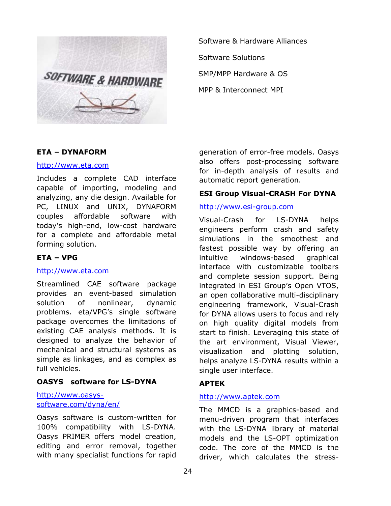

Software & Hardware Alliances Software Solutions SMP/MPP Hardware & OS MPP & Interconnect MPI

### **ETA – DYNAFORM**

#### [http://www.eta.com](http://www.eta.com/)

Includes a complete CAD interface capable of importing, modeling and analyzing, any die design. Available for PC, LINUX and UNIX, DYNAFORM couples affordable software with today's high-end, low-cost hardware for a complete and affordable metal forming solution.

### **ETA – VPG**

#### [http://www.eta.com](http://www.eta.com/)

Streamlined CAE software package provides an event-based simulation solution of nonlinear, dynamic problems. eta/VPG's single software package overcomes the limitations of existing CAE analysis methods. It is designed to analyze the behavior of mechanical and structural systems as simple as linkages, and as complex as full vehicles.

#### **OASYS software for LS-DYNA**

#### [http://www.oasys](http://www.oasys-software.com/dyna/en/)[software.com/dyna/en/](http://www.oasys-software.com/dyna/en/)

Oasys software is custom-written for 100% compatibility with LS-DYNA. Oasys PRIMER offers model creation, editing and error removal, together with many specialist functions for rapid generation of error-free models. Oasys also offers post-processing software for in-depth analysis of results and automatic report generation.

### **ESI Group Visual-CRASH For DYNA**

#### [http://www.esi-group.com](http://www.esi-group.com/)

Visual-Crash for LS-DYNA helps engineers perform crash and safety simulations in the smoothest and fastest possible way by offering an intuitive windows-based graphical interface with customizable toolbars and complete session support. Being integrated in ESI Group's Open VTOS, an open collaborative multi-disciplinary engineering framework, Visual-Crash for DYNA allows users to focus and rely on high quality digital models from start to finish. Leveraging this state of the art environment, Visual Viewer, visualization and plotting solution, helps analyze LS-DYNA results within a single user interface.

### **APTEK**

#### [http://www.aptek.com](http://www.aptek.com/)

The MMCD is a graphics-based and menu-driven program that interfaces with the LS-DYNA library of material models and the LS-OPT optimization code. The core of the MMCD is the driver, which calculates the stress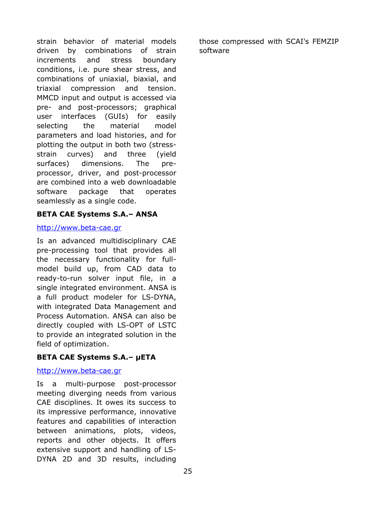strain behavior of material models driven by combinations of strain increments and stress boundary conditions, i.e. pure shear stress, and combinations of uniaxial, biaxial, and triaxial compression and tension. MMCD input and output is accessed via pre- and post-processors; graphical user interfaces (GUIs) for easily selecting the material model parameters and load histories, and for plotting the output in both two (stressstrain curves) and three (yield surfaces) dimensions. The preprocessor, driver, and post-processor are combined into a web downloadable software package that operates seamlessly as a single code.

### **BETA CAE Systems S.A.– ANSA**

### [http://www.beta-cae.gr](http://www.beta-cae.gr/)

Is an advanced multidisciplinary CAE pre-processing tool that provides all the necessary functionality for fullmodel build up, from CAD data to ready-to-run solver input file, in a single integrated environment. ANSA is a full product modeler for LS-DYNA, with integrated Data Management and Process Automation. ANSA can also be directly coupled with LS-OPT of LSTC to provide an integrated solution in the field of optimization.

### **BETA CAE Systems S.A.– μETA**

### [http://www.beta-cae.gr](http://www.beta-cae.gr/)

Is a multi-purpose post-processor meeting diverging needs from various CAE disciplines. It owes its success to its impressive performance, innovative features and capabilities of interaction between animations, plots, videos, reports and other objects. It offers extensive support and handling of LS-DYNA 2D and 3D results, including

those compressed with SCAI's FEMZIP software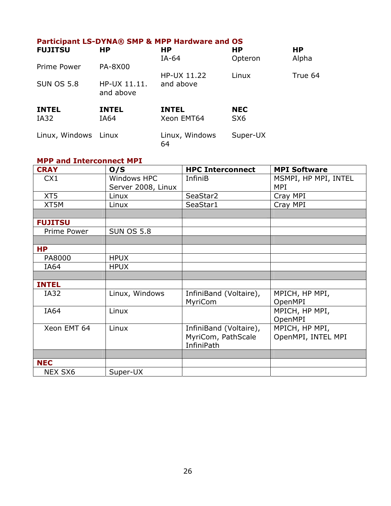### **Participant LS-DYNA® SMP & MPP Hardware and OS**

| <b>FUJITSU</b>       | <b>HP</b>                 | <b>HP</b><br>$IA-64$       | <b>HP</b><br>Opteron          | <b>HP</b><br>Alpha |
|----------------------|---------------------------|----------------------------|-------------------------------|--------------------|
| Prime Power          | <b>PA-8X00</b>            | HP-UX 11.22                | Linux                         | True 64            |
| <b>SUN OS 5.8</b>    | HP-UX 11.11.<br>and above | and above                  |                               |                    |
| <b>INTEL</b><br>IA32 | <b>INTEL</b><br>IA64      | <b>INTEL</b><br>Xeon EMT64 | <b>NEC</b><br>SX <sub>6</sub> |                    |
| Linux, Windows Linux |                           | Linux, Windows<br>64       | Super-UX                      |                    |

### **MPP and Interconnect MPI**

| <b>CRAY</b>    | O/S                | <b>HPC Interconnect</b> | <b>MPI Software</b>  |
|----------------|--------------------|-------------------------|----------------------|
| CX1            | Windows HPC        | <b>InfiniB</b>          | MSMPI, HP MPI, INTEL |
|                | Server 2008, Linux |                         | MPI                  |
| XT5            | Linux              | SeaStar2                | Cray MPI             |
| XT5M           | Linux              | SeaStar1                | Cray MPI             |
|                |                    |                         |                      |
| <b>FUJITSU</b> |                    |                         |                      |
| Prime Power    | <b>SUN OS 5.8</b>  |                         |                      |
|                |                    |                         |                      |
| <b>HP</b>      |                    |                         |                      |
| PA8000         | <b>HPUX</b>        |                         |                      |
| IA64           | <b>HPUX</b>        |                         |                      |
|                |                    |                         |                      |
| <b>INTEL</b>   |                    |                         |                      |
| IA32           | Linux, Windows     | InfiniBand (Voltaire),  | MPICH, HP MPI,       |
|                |                    | MyriCom                 | OpenMPI              |
| IA64           | Linux              |                         | MPICH, HP MPI,       |
|                |                    |                         | OpenMPI              |
| Xeon EMT 64    | Linux              | InfiniBand (Voltaire),  | MPICH, HP MPI,       |
|                |                    | MyriCom, PathScale      | OpenMPI, INTEL MPI   |
|                |                    | <b>InfiniPath</b>       |                      |
|                |                    |                         |                      |
| <b>NEC</b>     |                    |                         |                      |
| <b>NEX SX6</b> | Super-UX           |                         |                      |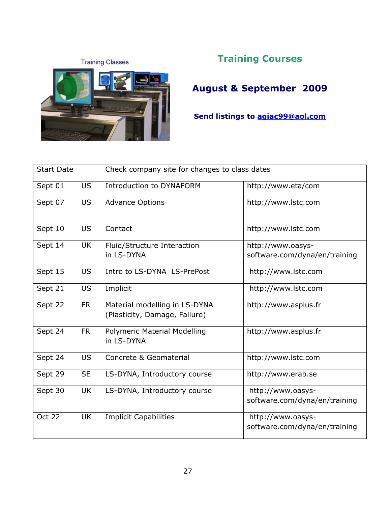**Training Classes** 



### **Training Courses**

**August & September 2009** 

**Send listings to agiac99@aol.com** 

| <b>Start Date</b> |           | Check company site for changes to class dates                  |                               |  |
|-------------------|-----------|----------------------------------------------------------------|-------------------------------|--|
| Sept 01           | <b>US</b> | <b>Introduction to DYNAFORM</b>                                | http://www.eta/com            |  |
| Sept 07           | <b>US</b> | <b>Advance Options</b>                                         | http://www.lstc.com           |  |
| Sept 10           | <b>US</b> | Contact                                                        | http://www.lstc.com           |  |
| Sept 14           | <b>UK</b> | Fluid/Structure Interaction                                    | http://www.oasys-             |  |
|                   |           | in LS-DYNA                                                     | software.com/dyna/en/training |  |
| Sept 15           | <b>US</b> | Intro to LS-DYNA LS-PrePost                                    | http://www.lstc.com           |  |
| Sept 21           | <b>US</b> | Implicit                                                       | http://www.lstc.com           |  |
| Sept 22           | <b>FR</b> | Material modelling in LS-DYNA<br>(Plasticity, Damage, Failure) | http://www.asplus.fr          |  |
| Sept 24           | <b>FR</b> | Polymeric Material Modelling<br>in LS-DYNA                     | http://www.asplus.fr          |  |
| Sept 24           | <b>US</b> | Concrete & Geomaterial                                         | http://www.lstc.com           |  |
| Sept 29           | <b>SE</b> | LS-DYNA, Introductory course                                   | http://www.erab.se            |  |
| Sept 30           | <b>UK</b> | LS-DYNA, Introductory course                                   | http://www.oasys-             |  |
|                   |           |                                                                | software.com/dyna/en/training |  |
| <b>Oct 22</b>     | <b>UK</b> | <b>Implicit Capabilities</b>                                   | http://www.oasys-             |  |
|                   |           |                                                                | software.com/dyna/en/training |  |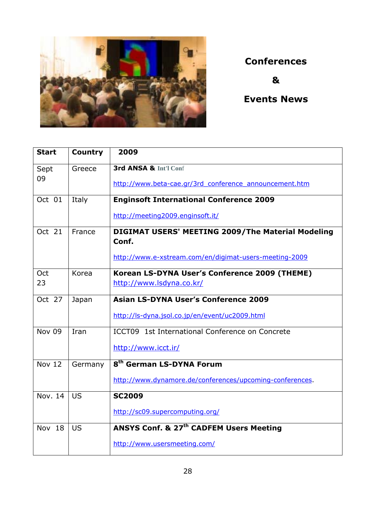

### **Conferences**

**&** 

**Events News** 

| <b>Start</b>  | <b>Country</b> | 2009                                                                      |
|---------------|----------------|---------------------------------------------------------------------------|
| Sept<br>09    | Greece         | 3rd ANSA & Int'l Conf                                                     |
|               |                | http://www.beta-cae.gr/3rd conference announcement.htm                    |
| Oct 01        | Italy          | <b>Enginsoft International Conference 2009</b>                            |
|               |                | http://meeting2009.enginsoft.it/                                          |
| Oct 21        | France         | <b>DIGIMAT USERS' MEETING 2009/The Material Modeling</b><br>Conf.         |
|               |                | http://www.e-xstream.com/en/digimat-users-meeting-2009                    |
| Oct<br>23     | Korea          | Korean LS-DYNA User's Conference 2009 (THEME)<br>http://www.lsdyna.co.kr/ |
| Oct 27        | Japan          | <b>Asian LS-DYNA User's Conference 2009</b>                               |
|               |                | http://ls-dyna.jsol.co.jp/en/event/uc2009.html                            |
| <b>Nov 09</b> | Iran           | ICCT09 1st International Conference on Concrete                           |
|               |                | http://www.icct.ir/                                                       |
| <b>Nov 12</b> | Germany        | 8 <sup>th</sup> German LS-DYNA Forum                                      |
|               |                | http://www.dynamore.de/conferences/upcoming-conferences.                  |
| Nov. 14       | <b>US</b>      | <b>SC2009</b>                                                             |
|               |                | http://sc09.supercomputing.org/                                           |
| Nov 18        | US             | ANSYS Conf. & 27 <sup>th</sup> CADFEM Users Meeting                       |
|               |                | http://www.usersmeeting.com/                                              |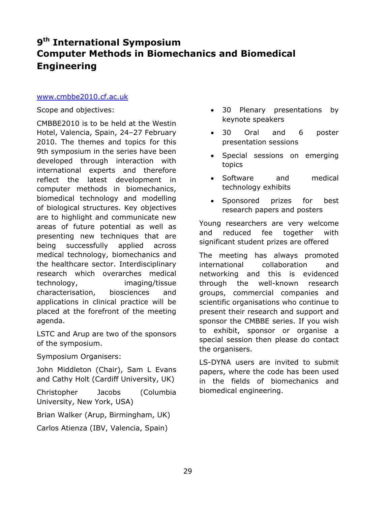### **9th International Symposium Computer Methods in Biomechanics and Biomedical Engineering**

#### [www.cmbbe2010.cf.ac.uk](http://www.cmbbe2010.cf.ac.uk/)

Scope and objectives:

CMBBE2010 is to be held at the Westin Hotel, Valencia, Spain, 24–27 February 2010. The themes and topics for this 9th symposium in the series have been developed through interaction with international experts and therefore reflect the latest development in computer methods in biomechanics, biomedical technology and modelling of biological structures. Key objectives are to highlight and communicate new areas of future potential as well as presenting new techniques that are being successfully applied across medical technology, biomechanics and the healthcare sector. Interdisciplinary research which overarches medical technology, imaging/tissue characterisation, biosciences and applications in clinical practice will be placed at the forefront of the meeting agenda.

LSTC and Arup are two of the sponsors of the symposium.

Symposium Organisers:

John Middleton (Chair), Sam L Evans and Cathy Holt (Cardiff University, UK)

Christopher Jacobs (Columbia University, New York, USA)

Brian Walker (Arup, Birmingham, UK)

Carlos Atienza (IBV, Valencia, Spain)

- 30 Plenary presentations by keynote speakers
- 30 Oral and 6 poster presentation sessions
- Special sessions on emerging topics
- Software and medical technology exhibits
- Sponsored prizes for best research papers and posters

Young researchers are very welcome and reduced fee together with significant student prizes are offered

The meeting has always promoted international collaboration and networking and this is evidenced through the well-known research groups, commercial companies and scientific organisations who continue to present their research and support and sponsor the CMBBE series. If you wish to exhibit, sponsor or organise a special session then please do contact the organisers.

LS-DYNA users are invited to submit papers, where the code has been used in the fields of biomechanics and biomedical engineering.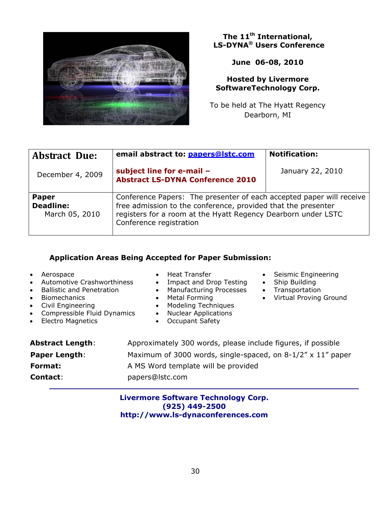

### **The 11th International, LS-DYNA® Users Conference**

**June 06-08, 2010** 

### **Hosted by Livermore SoftwareTechnology Corp.**

To be held at The Hyatt Regency Dearborn, MI

| <b>Abstract Due:</b>                                                                                                                                                                                                                                                                    | email abstract to: papers@lstc.com                                   | <b>Notification:</b> |
|-----------------------------------------------------------------------------------------------------------------------------------------------------------------------------------------------------------------------------------------------------------------------------------------|----------------------------------------------------------------------|----------------------|
| December 4, 2009                                                                                                                                                                                                                                                                        | subject line for e-mail -<br><b>Abstract LS-DYNA Conference 2010</b> | January 22, 2010     |
| Conference Papers: The presenter of each accepted paper will receive<br><b>Paper</b><br>free admission to the conference, provided that the presenter<br><b>Deadline:</b><br>registers for a room at the Hyatt Regency Dearborn under LSTC<br>March 05, 2010<br>Conference registration |                                                                      |                      |

### **Application Areas Being Accepted for Paper Submission:**

| Aerospace<br>$\bullet$<br>Automotive Crashworthiness<br>$\bullet$<br><b>Ballistic and Penetration</b><br>$\bullet$<br><b>Biomechanics</b><br>$\bullet$<br>Civil Engineering<br>$\bullet$<br>Compressible Fluid Dynamics<br>$\bullet$<br><b>Electro Magnetics</b><br>$\bullet$ | <b>Heat Transfer</b><br>$\bullet$<br>Impact and Drop Testing<br>$\bullet$<br><b>Manufacturing Processes</b><br>$\bullet$<br><b>Metal Forming</b><br>$\bullet$<br>Modeling Techniques<br>$\bullet$<br><b>Nuclear Applications</b><br>$\bullet$<br><b>Occupant Safety</b><br>$\bullet$ | Seismic Engineering<br>$\bullet$<br>Ship Building<br>$\bullet$<br>Transportation<br>$\bullet$<br>Virtual Proving Ground<br>$\bullet$ |
|-------------------------------------------------------------------------------------------------------------------------------------------------------------------------------------------------------------------------------------------------------------------------------|--------------------------------------------------------------------------------------------------------------------------------------------------------------------------------------------------------------------------------------------------------------------------------------|--------------------------------------------------------------------------------------------------------------------------------------|
| <b>Abstract Length:</b>                                                                                                                                                                                                                                                       | Approximately 300 words, please include figures, if possible                                                                                                                                                                                                                         |                                                                                                                                      |
| <b>Paper Length:</b>                                                                                                                                                                                                                                                          | Maximum of 3000 words, single-spaced, on 8-1/2" x 11" paper                                                                                                                                                                                                                          |                                                                                                                                      |
| Format:                                                                                                                                                                                                                                                                       | A MS Word template will be provided                                                                                                                                                                                                                                                  |                                                                                                                                      |

### **Contact**: papers@lstc.com **\_\_\_\_\_\_\_\_\_\_\_\_\_\_\_\_\_\_\_\_\_\_\_\_\_\_\_\_\_\_\_\_\_\_\_\_\_\_\_\_\_\_\_\_\_\_\_\_\_\_\_\_\_\_\_\_\_\_\_\_\_\_**

### **Livermore Software Technology Corp. (925) 449-2500 http://www.ls-dynaconferences.com**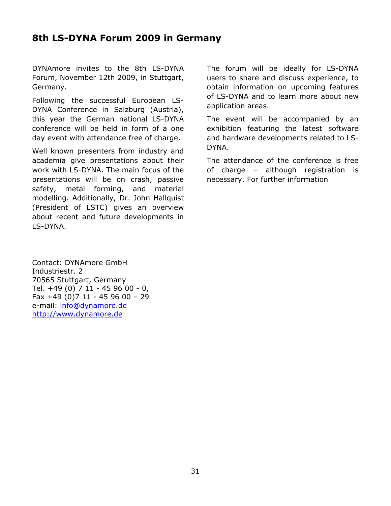### **8th LS-DYNA Forum 2009 in Germany**

DYNAmore invites to the 8th LS-DYNA Forum, November 12th 2009, in Stuttgart, Germany.

Following the successful European LS-DYNA Conference in Salzburg (Austria), this year the German national LS-DYNA conference will be held in form of a one day event with attendance free of charge.

Well known presenters from industry and academia give presentations about their work with LS-DYNA. The main focus of the presentations will be on crash, passive safety, metal forming, and material modelling. Additionally, Dr. John Hallquist (President of LSTC) gives an overview about recent and future developments in LS-DYNA.

Contact: DYNAmore GmbH Industriestr. 2 70565 Stuttgart, Germany Tel. +49 (0) 7 11 - 45 96 00 - 0, Fax +49 (0)7 11 - 45 96 00 – 29 e-mail: info@dynamore.de [http://www.dynamore.de](http://www.dynamore.de/) 

The forum will be ideally for LS-DYNA users to share and discuss experience, to obtain information on upcoming features of LS-DYNA and to learn more about new application areas.

The event will be accompanied by an exhibition featuring the latest software and hardware developments related to LS-DYNA.

The attendance of the conference is free of charge – although registration is necessary. For further information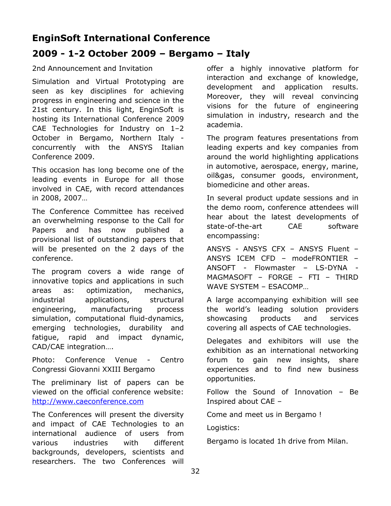### **EnginSoft International Conference**

### **2009 - 1-2 October 2009 – Bergamo – Italy**

### 2nd Announcement and Invitation

Simulation and Virtual Prototyping are seen as key disciplines for achieving progress in engineering and science in the 21st century. In this light, EnginSoft is hosting its International Conference 2009 CAE Technologies for Industry on 1–2 October in Bergamo, Northern Italy concurrently with the ANSYS Italian Conference 2009.

This occasion has long become one of the leading events in Europe for all those involved in CAE, with record attendances in 2008, 2007…

The Conference Committee has received an overwhelming response to the Call for Papers and has now published a provisional list of outstanding papers that will be presented on the 2 days of the conference.

The program covers a wide range of innovative topics and applications in such areas as: optimization, mechanics, industrial applications, structural engineering, manufacturing process simulation, computational fluid-dynamics, emerging technologies, durability and fatigue, rapid and impact dynamic, CAD/CAE integration….

Photo: Conference Venue - Centro Congressi Giovanni XXIII Bergamo

The preliminary list of papers can be viewed on the official conference website: [http://www.caeconference.com](http://www.caeconference.com/)

The Conferences will present the diversity and impact of CAE Technologies to an international audience of users from various industries with different backgrounds, developers, scientists and researchers. The two Conferences will

offer a highly innovative platform for interaction and exchange of knowledge, development and application results. Moreover, they will reveal convincing visions for the future of engineering simulation in industry, research and the academia.

The program features presentations from leading experts and key companies from around the world highlighting applications in automotive, aerospace, energy, marine, oil&gas, consumer goods, environment, biomedicine and other areas.

In several product update sessions and in the demo room, conference attendees will hear about the latest developments of state-of-the-art CAE software encompassing:

ANSYS - ANSYS CFX – ANSYS Fluent – ANSYS ICEM CFD – modeFRONTIER – ANSOFT - Flowmaster – LS-DYNA - MAGMASOFT – FORGE – FTI – THIRD WAVE SYSTEM – ESACOMP…

A large accompanying exhibition will see the world's leading solution providers showcasing products and services covering all aspects of CAE technologies.

Delegates and exhibitors will use the exhibition as an international networking forum to gain new insights, share experiences and to find new business opportunities.

Follow the Sound of Innovation – Be Inspired about CAE –

Come and meet us in Bergamo !

Logistics:

Bergamo is located 1h drive from Milan.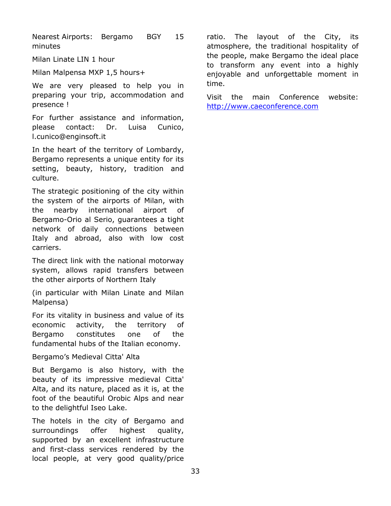Nearest Airports: Bergamo BGY 15 minutes

Milan Linate LIN 1 hour

Milan Malpensa MXP 1,5 hours+

We are very pleased to help you in preparing your trip, accommodation and presence !

For further assistance and information, please contact: Dr. Luisa Cunico, l.cunico@enginsoft.it

In the heart of the territory of Lombardy, Bergamo represents a unique entity for its setting, beauty, history, tradition and culture.

The strategic positioning of the city within the system of the airports of Milan, with the nearby international airport of Bergamo-Orio al Serio, guarantees a tight network of daily connections between Italy and abroad, also with low cost carriers.

The direct link with the national motorway system, allows rapid transfers between the other airports of Northern Italy

(in particular with Milan Linate and Milan Malpensa)

For its vitality in business and value of its economic activity, the territory of Bergamo constitutes one of the fundamental hubs of the Italian economy.

Bergamo's Medieval Citta' Alta

But Bergamo is also history, with the beauty of its impressive medieval Citta' Alta, and its nature, placed as it is, at the foot of the beautiful Orobic Alps and near to the delightful Iseo Lake.

The hotels in the city of Bergamo and surroundings offer highest quality, supported by an excellent infrastructure and first-class services rendered by the local people, at very good quality/price

ratio. The layout of the City, its atmosphere, the traditional hospitality of the people, make Bergamo the ideal place to transform any event into a highly enjoyable and unforgettable moment in time.

Visit the main Conference website: [http://www.caeconference.com](http://www.caeconference.com/)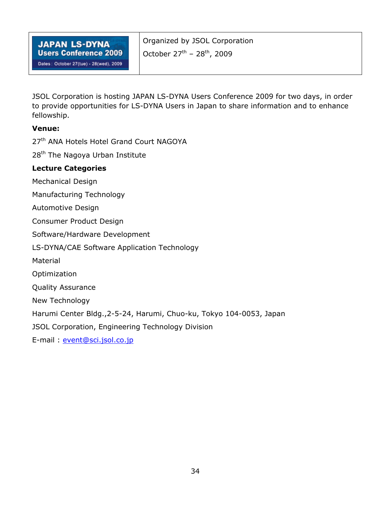| <b>JAPAN LS-DYNA</b>                   | Organized by JSOL Corporation                      |
|----------------------------------------|----------------------------------------------------|
| <b>Users Conference 2009</b>           | October $27^{\text{th}}$ – $28^{\text{th}}$ , 2009 |
| Dates: October 27(tue) - 28(wed), 2009 |                                                    |

JSOL Corporation is hosting JAPAN LS-DYNA Users Conference 2009 for two days, in order to provide opportunities for LS-DYNA Users in Japan to share information and to enhance fellowship.

### **Venue:**

27<sup>th</sup> ANA Hotels Hotel Grand Court NAGOYA

28<sup>th</sup> The Nagoya Urban Institute

### **Lecture Categories**

Mechanical Design

Manufacturing Technology

Automotive Design

Consumer Product Design

Software/Hardware Development

LS-DYNA/CAE Software Application Technology

Material

Optimization

Quality Assurance

New Technology

Harumi Center Bldg.,2-5-24, Harumi, Chuo-ku, Tokyo 104-0053, Japan

JSOL Corporation, Engineering Technology Division

E-mail : [event@sci.jsol.co.jp](mailto:event@sci.jsol.co.jp)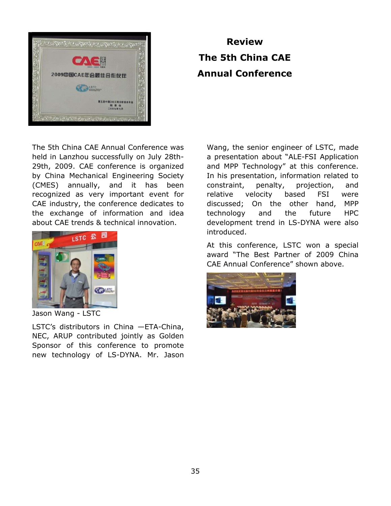

## **Review The 5th China CAE Annual Conference**

The 5th China CAE Annual Conference was held in Lanzhou successfully on July 28th-29th, 2009. CAE conference is organized by China Mechanical Engineering Society (CMES) annually, and it has been recognized as very important event for CAE industry, the conference dedicates to the exchange of information and idea about CAE trends & technical innovation.



Jason Wang - LSTC

LSTC's distributors in China —ETA-China, NEC, ARUP contributed jointly as Golden Sponsor of this conference to promote new technology of LS-DYNA. Mr. Jason

Wang, the senior engineer of LSTC, made a presentation about "ALE-FSI Application and MPP Technology" at this conference. In his presentation, information related to constraint, penalty, projection, and relative velocity based FSI were discussed; On the other hand, MPP technology and the future HPC development trend in LS-DYNA were also introduced.

At this conference, LSTC won a special award "The Best Partner of 2009 China CAE Annual Conference" shown above.

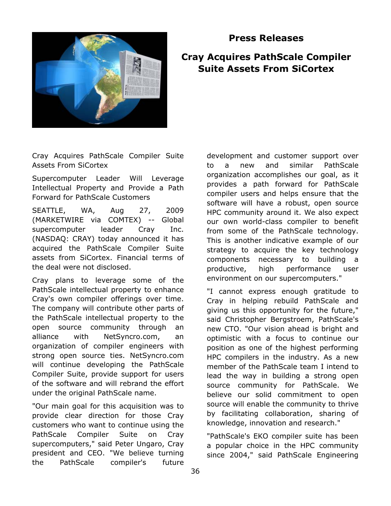

**Cray Acquires PathScale Compiler** 

**Press Releases** 

## **Suite Assets From SiCortex**

Cray Acquires PathScale Compiler Suite Assets From SiCortex

Supercomputer Leader Will Leverage Intellectual Property and Provide a Path Forward for PathScale Customers

SEATTLE, WA, Aug 27, 2009 (MARKETWIRE via COMTEX) -- Global supercomputer leader Cray Inc. (NASDAQ: CRAY) today announced it has acquired the PathScale Compiler Suite assets from SiCortex. Financial terms of the deal were not disclosed.

Cray plans to leverage some of the PathScale intellectual property to enhance Cray's own compiler offerings over time. The company will contribute other parts of the PathScale intellectual property to the open source community through an alliance with NetSyncro.com, an organization of compiler engineers with strong open source ties. NetSyncro.com will continue developing the PathScale Compiler Suite, provide support for users of the software and will rebrand the effort under the original PathScale name.

"Our main goal for this acquisition was to provide clear direction for those Cray customers who want to continue using the PathScale Compiler Suite on Cray supercomputers," said Peter Ungaro, Cray president and CEO. "We believe turning the PathScale compiler's future

development and customer support over to a new and similar PathScale organization accomplishes our goal, as it provides a path forward for PathScale compiler users and helps ensure that the software will have a robust, open source HPC community around it. We also expect our own world-class compiler to benefit from some of the PathScale technology. This is another indicative example of our strategy to acquire the key technology components necessary to building a productive, high performance user environment on our supercomputers."

"I cannot express enough gratitude to Cray in helping rebuild PathScale and giving us this opportunity for the future," said Christopher Bergstroem, PathScale's new CTO. "Our vision ahead is bright and optimistic with a focus to continue our position as one of the highest performing HPC compilers in the industry. As a new member of the PathScale team I intend to lead the way in building a strong open source community for PathScale. We believe our solid commitment to open source will enable the community to thrive by facilitating collaboration, sharing of knowledge, innovation and research."

"PathScale's EKO compiler suite has been a popular choice in the HPC community since 2004," said PathScale Engineering